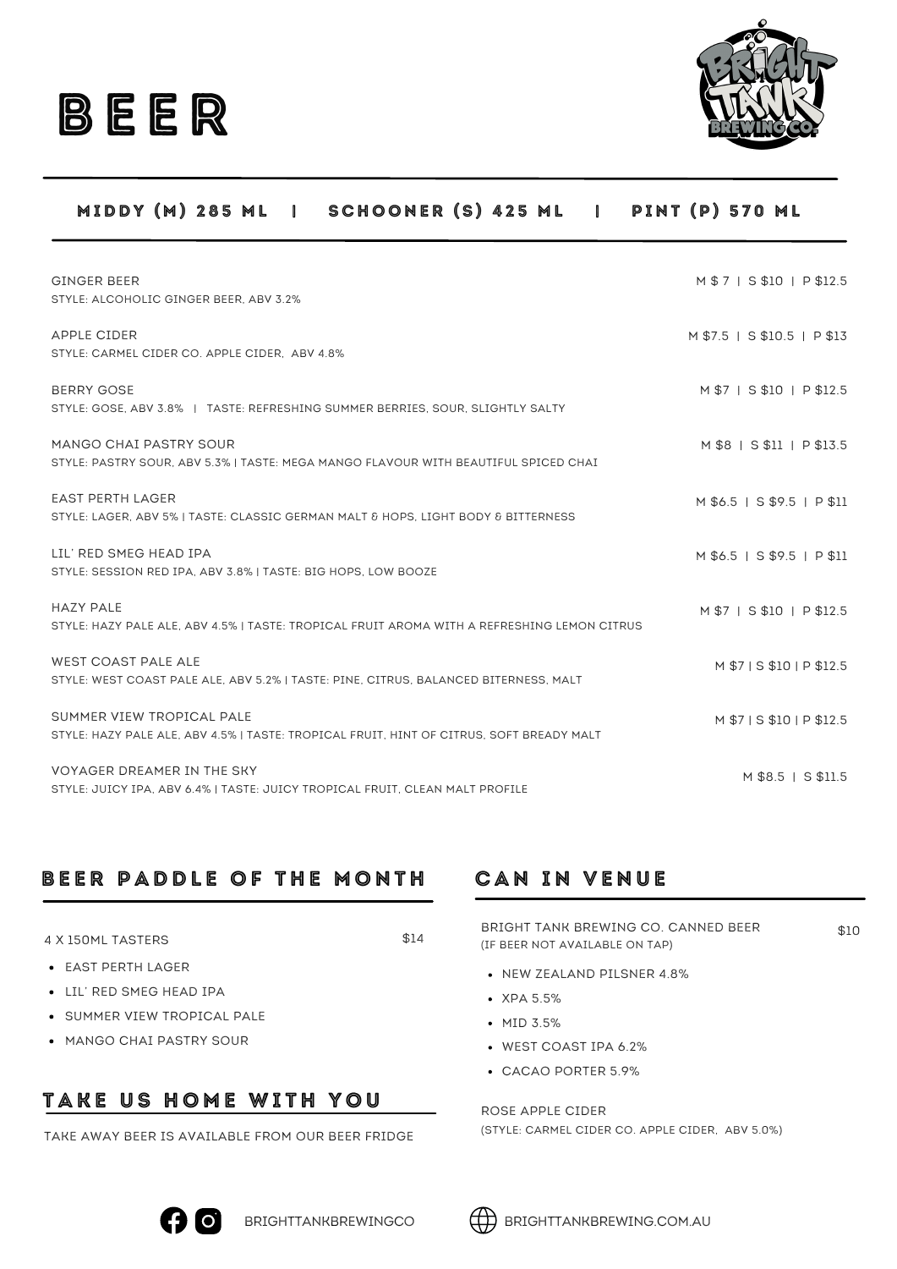



#### MIDDY (M) 285 ML | SCHOONER (S) 425 ML | PINT (P) 570 ML

| <b>GINGER BEER</b>                                                                          | M \$ 7   S \$10   P \$12.5  |
|---------------------------------------------------------------------------------------------|-----------------------------|
| STYLE: ALCOHOLIC GINGER BEER, ABV 3.2%                                                      |                             |
| APPLE CIDER                                                                                 | M \$7.5   S \$10.5   P \$13 |
| STYLE: CARMEL CIDER CO. APPLE CIDER. ABV 4.8%                                               |                             |
|                                                                                             |                             |
| BERRY GOSE                                                                                  | M \$7   S \$10   P \$12.5   |
| STYLE: GOSE, ABV 3.8%   TASTE: REFRESHING SUMMER BERRIES, SOUR, SLIGHTLY SALTY              |                             |
| MANGO CHAI PASTRY SOUR                                                                      | M \$8   S \$11   P \$13.5   |
| STYLE: PASTRY SOUR, ABV 5.3% I TASTE: MEGA MANGO FLAVOUR WITH BEAUTIFUL SPICED CHAI         |                             |
|                                                                                             |                             |
| <b>EAST PERTH LAGER</b>                                                                     | M \$6.5   S \$9.5   P \$11  |
| STYLE: LAGER, ABV 5%   TASTE: CLASSIC GERMAN MALT & HOPS, LIGHT BODY & BITTERNESS           |                             |
| LIL' RED SMEG HEAD IPA                                                                      | M \$6.5   S \$9.5   P \$11  |
| STYLE: SESSION RED IPA, ABV 3.8% I TASTE: BIG HOPS, LOW BOOZE                               |                             |
| <b>HAZY PALE</b>                                                                            | M \$7   S \$10   P \$12.5   |
| STYLE: HAZY PALE ALE, ABV 4.5%   TASTE: TROPICAL FRUIT AROMA WITH A REFRESHING LEMON CITRUS |                             |
|                                                                                             |                             |
| <b>WEST COAST PALE ALE</b>                                                                  | M \$71 S \$10 I P \$12.5    |
| STYLE: WEST COAST PALE ALE, ABV 5.2%   TASTE: PINE, CITRUS, BALANCED BITERNESS, MALT        |                             |
| SUMMER VIEW TROPICAL PALE                                                                   | M \$7   S \$10   P \$12.5   |
| STYLE: HAZY PALE ALE, ABV 4.5%   TASTE: TROPICAL FRUIT, HINT OF CITRUS, SOFT BREADY MALT    |                             |
|                                                                                             |                             |
| VOYAGER DREAMER IN THE SKY                                                                  | M \$8.5   S \$11.5          |
| STYLE: JUICY IPA, ABV 6.4%   TASTE: JUICY TROPICAL FRUIT, CLEAN MALT PROFILE                |                             |

### BEER PADDLE OF THE MONTH

4 X 150ML TASTERS

\$14

- EAST PERTH LAGER
- LIL' RED SMEG HEAD IPA
- **.** SUMMER VIEW TROPICAL PALE
- MANGO CHAI PASTRY SOUR

### TAKE US HOME WITH YOU

TAKE AWAY BEER IS AVAILABLE FROM OUR BEER FRIDGE

### **CAN IN VENUE**

BRIGHT TANK BREWING CO. CANNED BEER (IF BEER NOT AVAILABLE ON TAP) \$10

- NEW ZEALAND PILSNER 4.8%
- XPA 5.5%
- MID 3.5%
- WEST COAST IPA 6.2%
- CACAO PORTER 5.9%

ROSE APPLE CIDER (STYLE: CARMEL CIDER CO. APPLE CIDER, ABV 5.0%)



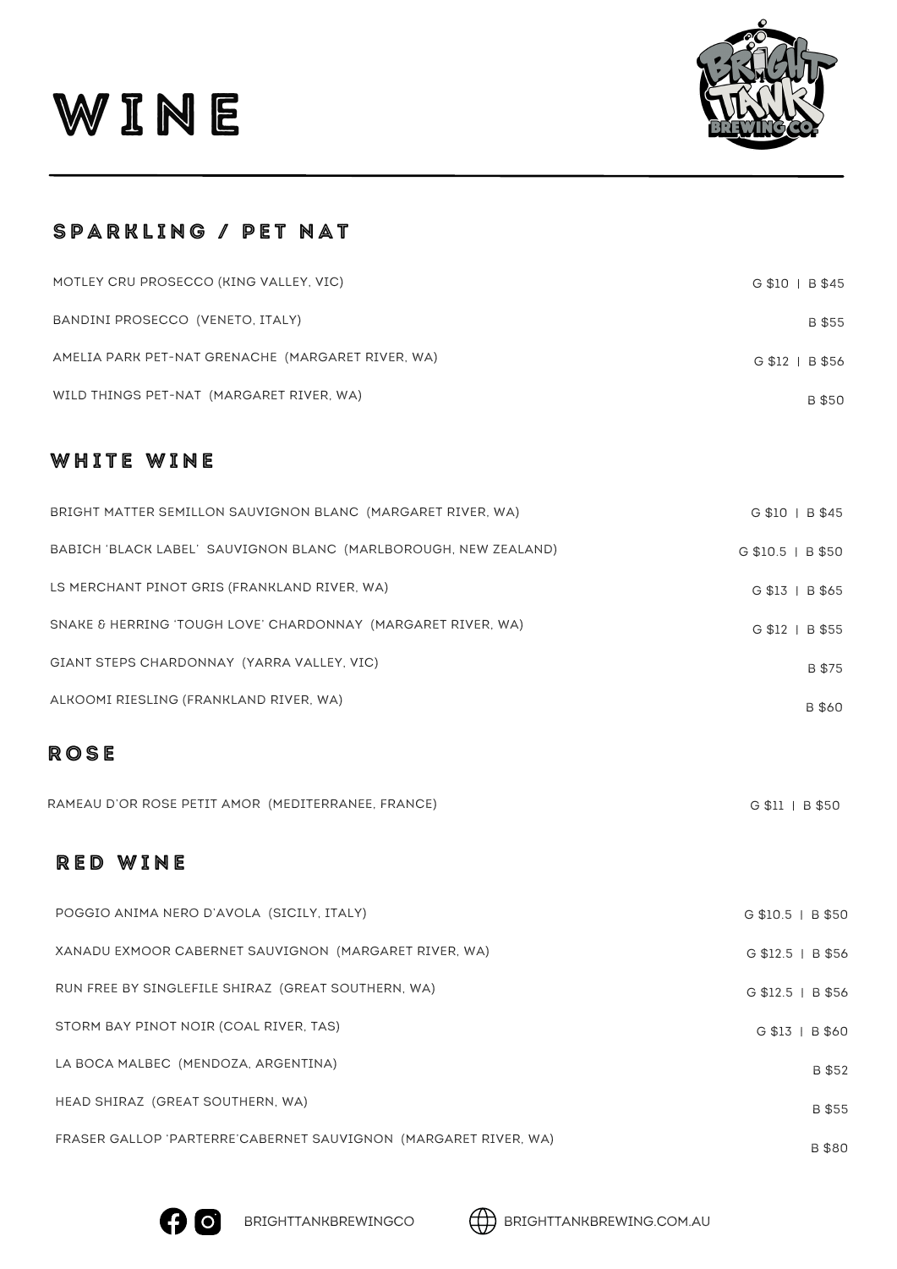



### SPARKLING / PET NAT

| MOTLEY CRU PROSECCO (KING VALLEY, VIC)            | G \$10   B \$45 |
|---------------------------------------------------|-----------------|
| BANDINI PROSECCO (VENETO, ITALY)                  | B \$55          |
| AMELIA PARK PET-NAT GRENACHE (MARGARET RIVER, WA) | G \$12   B \$56 |
| WILD THINGS PET-NAT (MARGARET RIVER, WA)          | B \$50          |

### WHITE WINE

| BRIGHT MATTER SEMILLON SAUVIGNON BLANC (MARGARET RIVER, WA)     | G \$10   B \$45     |
|-----------------------------------------------------------------|---------------------|
| BABICH 'BLACK LABEL' SAUVIGNON BLANC (MARLBOROUGH, NEW ZEALAND) | $G$ \$10.5   B \$50 |
| LS MERCHANT PINOT GRIS (FRANKLAND RIVER, WA)                    | G \$13   B \$65     |
| SNAKE & HERRING 'TOUGH LOVE' CHARDONNAY (MARGARET RIVER, WA)    | G \$12   B \$55     |
| GIANT STEPS CHARDONNAY (YARRA VALLEY, VIC)                      | B \$75              |
| ALKOOMI RIESLING (FRANKLAND RIVER, WA)                          | B \$60              |

### **ROSE**

| RAMEAU D'OR ROSE PETIT AMOR (MEDITERRANEE, FRANCE) |  | G \$11   B \$50 |  |
|----------------------------------------------------|--|-----------------|--|
|----------------------------------------------------|--|-----------------|--|

### RED WINE

| POGGIO ANIMA NERO D'AVOLA (SICILY, ITALY)                       | $G $10.5 \mid B $50$ |
|-----------------------------------------------------------------|----------------------|
| XANADU EXMOOR CABERNET SAUVIGNON (MARGARET RIVER, WA)           | G \$12.5   B \$56    |
| RUN FREE BY SINGLEFILE SHIRAZ (GREAT SOUTHERN, WA)              | G \$12.5   B \$56    |
| STORM BAY PINOT NOIR (COAL RIVER, TAS)                          | G \$13   B \$60      |
| LA BOCA MALBEC (MENDOZA, ARGENTINA)                             | B \$52               |
| HEAD SHIRAZ (GREAT SOUTHERN, WA)                                | B \$55               |
| FRASER GALLOP 'PARTERRE'CABERNET SAUVIGNON (MARGARET RIVER, WA) | <b>B</b> \$80        |